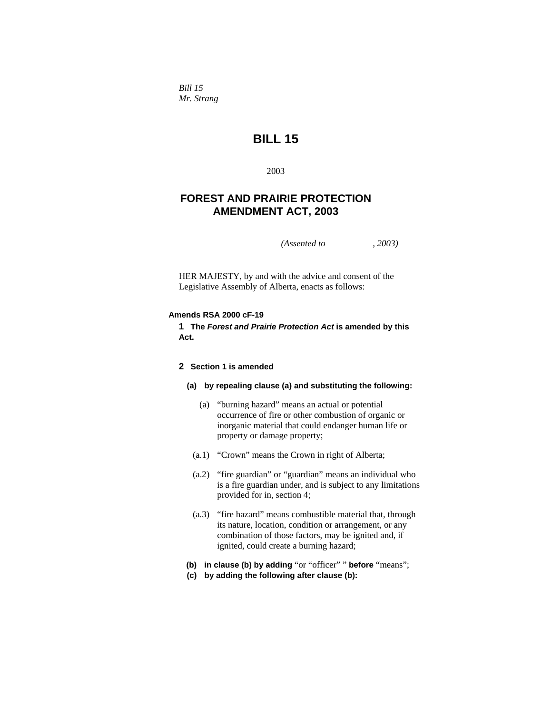*Bill 15 Mr. Strang* 

# **BILL 15**

2003

# **FOREST AND PRAIRIE PROTECTION AMENDMENT ACT, 2003**

*(Assented to , 2003)* 

HER MAJESTY, by and with the advice and consent of the Legislative Assembly of Alberta, enacts as follows:

# **Amends RSA 2000 cF-19**

**1 The** *Forest and Prairie Protection Act* **is amended by this Act.** 

# **2 Section 1 is amended**

# **(a) by repealing clause (a) and substituting the following:**

- (a) "burning hazard" means an actual or potential occurrence of fire or other combustion of organic or inorganic material that could endanger human life or property or damage property;
- (a.1) "Crown" means the Crown in right of Alberta;
- (a.2) "fire guardian" or "guardian" means an individual who is a fire guardian under, and is subject to any limitations provided for in, section 4;
- (a.3) "fire hazard" means combustible material that, through its nature, location, condition or arrangement, or any combination of those factors, may be ignited and, if ignited, could create a burning hazard;
- **(b) in clause (b) by adding** "or "officer" " **before** "means";
- **(c) by adding the following after clause (b):**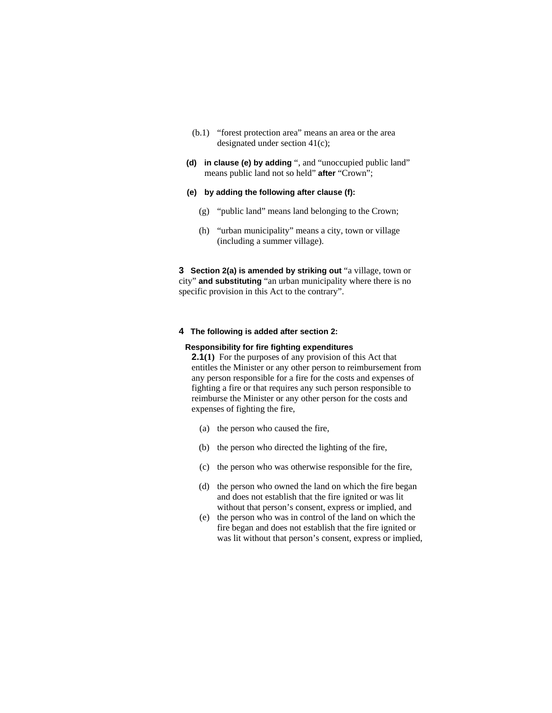- (b.1) "forest protection area" means an area or the area designated under section 41(c);
- **(d) in clause (e) by adding** ", and "unoccupied public land" means public land not so held" **after** "Crown";
- **(e) by adding the following after clause (f):**
	- (g) "public land" means land belonging to the Crown;
	- (h) "urban municipality" means a city, town or village (including a summer village).

**3 Section 2(a) is amended by striking out** "a village, town or city" **and substituting** "an urban municipality where there is no specific provision in this Act to the contrary".

# **4 The following is added after section 2:**

# **Responsibility for fire fighting expenditures**

**2.1(1)** For the purposes of any provision of this Act that entitles the Minister or any other person to reimbursement from any person responsible for a fire for the costs and expenses of fighting a fire or that requires any such person responsible to reimburse the Minister or any other person for the costs and expenses of fighting the fire,

- (a) the person who caused the fire,
- (b) the person who directed the lighting of the fire,
- (c) the person who was otherwise responsible for the fire,
- (d) the person who owned the land on which the fire began and does not establish that the fire ignited or was lit without that person's consent, express or implied, and
- (e) the person who was in control of the land on which the fire began and does not establish that the fire ignited or was lit without that person's consent, express or implied,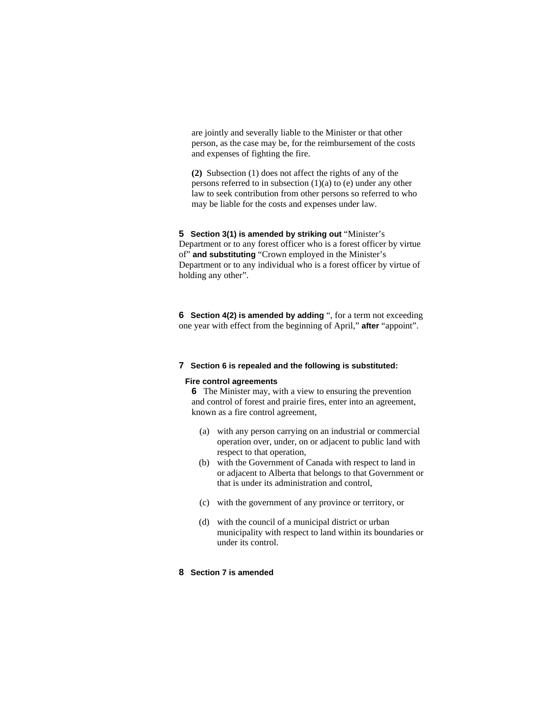are jointly and severally liable to the Minister or that other person, as the case may be, for the reimbursement of the costs and expenses of fighting the fire.

**(2)** Subsection (1) does not affect the rights of any of the persons referred to in subsection (1)(a) to (e) under any other law to seek contribution from other persons so referred to who may be liable for the costs and expenses under law.

**5 Section 3(1) is amended by striking out "Minister's** Department or to any forest officer who is a forest officer by virtue of" **and substituting** "Crown employed in the Minister's Department or to any individual who is a forest officer by virtue of holding any other".

**6 Section 4(2) is amended by adding** ", for a term not exceeding one year with effect from the beginning of April," **after** "appoint".

## **7 Section 6 is repealed and the following is substituted:**

## **Fire control agreements**

**6** The Minister may, with a view to ensuring the prevention and control of forest and prairie fires, enter into an agreement, known as a fire control agreement,

- (a) with any person carrying on an industrial or commercial operation over, under, on or adjacent to public land with respect to that operation,
- (b) with the Government of Canada with respect to land in or adjacent to Alberta that belongs to that Government or that is under its administration and control,
- (c) with the government of any province or territory, or
- (d) with the council of a municipal district or urban municipality with respect to land within its boundaries or under its control.

# **8 Section 7 is amended**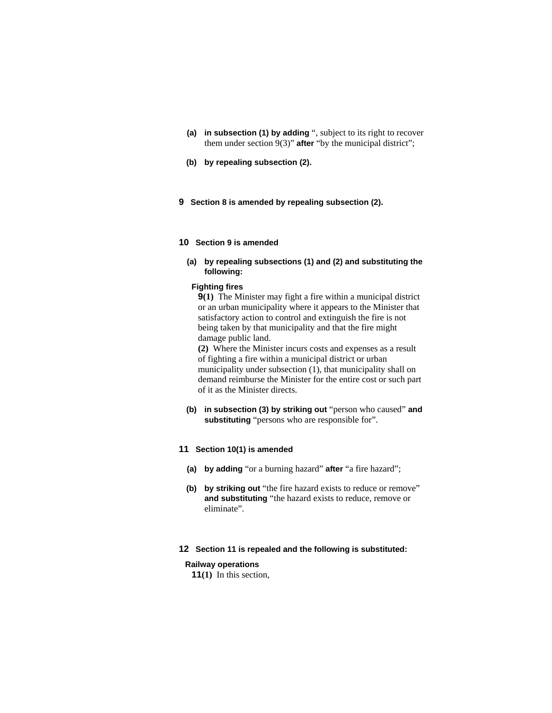- **(a) in subsection (1) by adding** ", subject to its right to recover them under section 9(3)" **after** "by the municipal district";
- **(b) by repealing subsection (2).**
- **9 Section 8 is amended by repealing subsection (2).**

# **10 Section 9 is amended**

**(a) by repealing subsections (1) and (2) and substituting the following:**

# **Fighting fires**

**9(1)** The Minister may fight a fire within a municipal district or an urban municipality where it appears to the Minister that satisfactory action to control and extinguish the fire is not being taken by that municipality and that the fire might damage public land.

**(2)** Where the Minister incurs costs and expenses as a result of fighting a fire within a municipal district or urban municipality under subsection (1), that municipality shall on demand reimburse the Minister for the entire cost or such part of it as the Minister directs.

**(b) in subsection (3) by striking out** "person who caused" **and substituting** "persons who are responsible for".

### **11 Section 10(1) is amended**

- **(a) by adding** "or a burning hazard" **after** "a fire hazard";
- **(b) by striking out** "the fire hazard exists to reduce or remove" **and substituting** "the hazard exists to reduce, remove or eliminate".

# **12 Section 11 is repealed and the following is substituted:**

## **Railway operations**

**11(1)** In this section,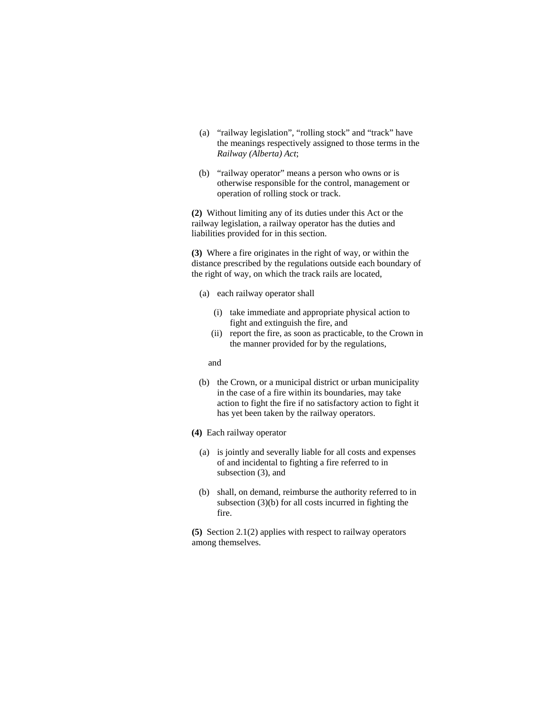- (a) "railway legislation", "rolling stock" and "track" have the meanings respectively assigned to those terms in the *Railway (Alberta) Act*;
- (b) "railway operator" means a person who owns or is otherwise responsible for the control, management or operation of rolling stock or track.

**(2)** Without limiting any of its duties under this Act or the railway legislation, a railway operator has the duties and liabilities provided for in this section.

**(3)** Where a fire originates in the right of way, or within the distance prescribed by the regulations outside each boundary of the right of way, on which the track rails are located,

- (a) each railway operator shall
	- (i) take immediate and appropriate physical action to fight and extinguish the fire, and
	- (ii) report the fire, as soon as practicable, to the Crown in the manner provided for by the regulations,

and

- (b) the Crown, or a municipal district or urban municipality in the case of a fire within its boundaries, may take action to fight the fire if no satisfactory action to fight it has yet been taken by the railway operators.
- **(4)** Each railway operator
	- (a) is jointly and severally liable for all costs and expenses of and incidental to fighting a fire referred to in subsection (3), and
	- (b) shall, on demand, reimburse the authority referred to in subsection (3)(b) for all costs incurred in fighting the fire.

**(5)** Section 2.1(2) applies with respect to railway operators among themselves.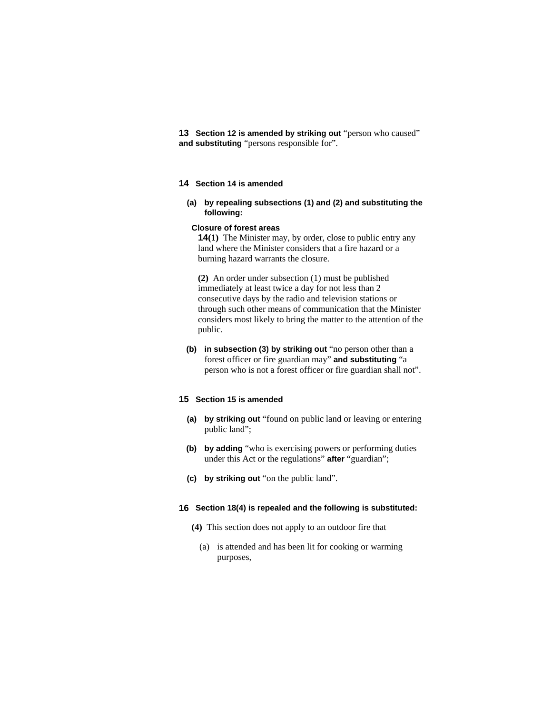**13 Section 12 is amended by striking out** "person who caused" **and substituting** "persons responsible for".

# **14 Section 14 is amended**

**(a) by repealing subsections (1) and (2) and substituting the following:**

#### **Closure of forest areas**

**14(1)** The Minister may, by order, close to public entry any land where the Minister considers that a fire hazard or a burning hazard warrants the closure.

**(2)** An order under subsection (1) must be published immediately at least twice a day for not less than 2 consecutive days by the radio and television stations or through such other means of communication that the Minister considers most likely to bring the matter to the attention of the public.

**(b) in subsection (3) by striking out** "no person other than a forest officer or fire guardian may" **and substituting** "a person who is not a forest officer or fire guardian shall not".

#### **15 Section 15 is amended**

- **(a) by striking out** "found on public land or leaving or entering public land";
- **(b) by adding** "who is exercising powers or performing duties under this Act or the regulations" **after** "guardian";
- **(c) by striking out** "on the public land".

#### **16 Section 18(4) is repealed and the following is substituted:**

- **(4)** This section does not apply to an outdoor fire that
	- (a) is attended and has been lit for cooking or warming purposes,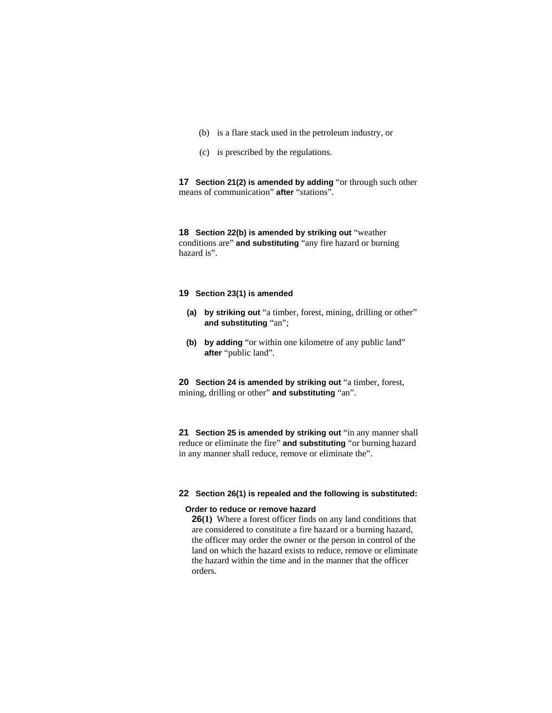- (b) is a flare stack used in the petroleum industry, or
- (c) is prescribed by the regulations.

**17 Section 21(2) is amended by adding** "or through such other means of communication" **after** "stations".

**18 Section 22(b) is amended by striking out** "weather conditions are" **and substituting** "any fire hazard or burning hazard is".

# **19 Section 23(1) is amended**

- **(a) by striking out** "a timber, forest, mining, drilling or other" **and substituting** "an";
- **(b) by adding** "or within one kilometre of any public land" **after** "public land".

**20 Section 24 is amended by striking out** "a timber, forest, mining, drilling or other" **and substituting** "an".

**21 Section 25 is amended by striking out** "in any manner shall reduce or eliminate the fire" **and substituting** "or burning hazard in any manner shall reduce, remove or eliminate the".

# **22 Section 26(1) is repealed and the following is substituted:**

#### **Order to reduce or remove hazard**

**26(1)** Where a forest officer finds on any land conditions that are considered to constitute a fire hazard or a burning hazard, the officer may order the owner or the person in control of the land on which the hazard exists to reduce, remove or eliminate the hazard within the time and in the manner that the officer orders.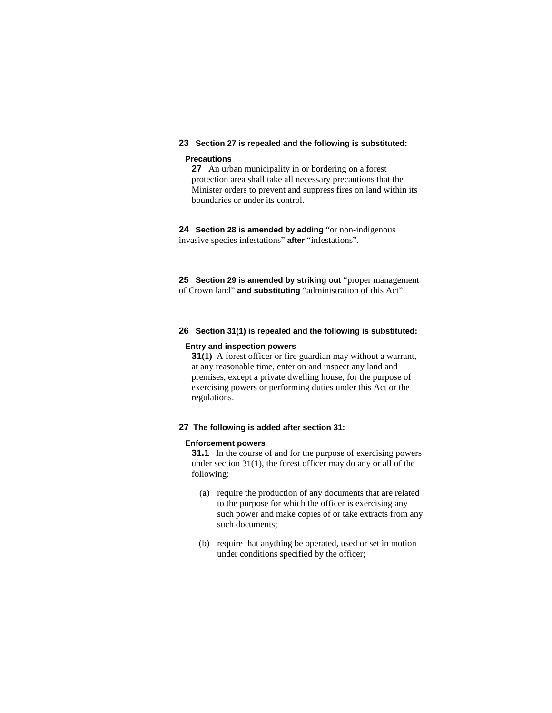# **23 Section 27 is repealed and the following is substituted:**

# **Precautions**

**27** An urban municipality in or bordering on a forest protection area shall take all necessary precautions that the Minister orders to prevent and suppress fires on land within its boundaries or under its control.

**24 Section 28 is amended by adding** "or non-indigenous invasive species infestations" **after** "infestations".

**25 Section 29 is amended by striking out** "proper management of Crown land" **and substituting** "administration of this Act".

## **26 Section 31(1) is repealed and the following is substituted:**

#### **Entry and inspection powers**

**31(1)** A forest officer or fire guardian may without a warrant, at any reasonable time, enter on and inspect any land and premises, except a private dwelling house, for the purpose of exercising powers or performing duties under this Act or the regulations.

#### **27 The following is added after section 31:**

#### **Enforcement powers**

**31.1** In the course of and for the purpose of exercising powers under section 31(1), the forest officer may do any or all of the following:

- (a) require the production of any documents that are related to the purpose for which the officer is exercising any such power and make copies of or take extracts from any such documents;
- (b) require that anything be operated, used or set in motion under conditions specified by the officer;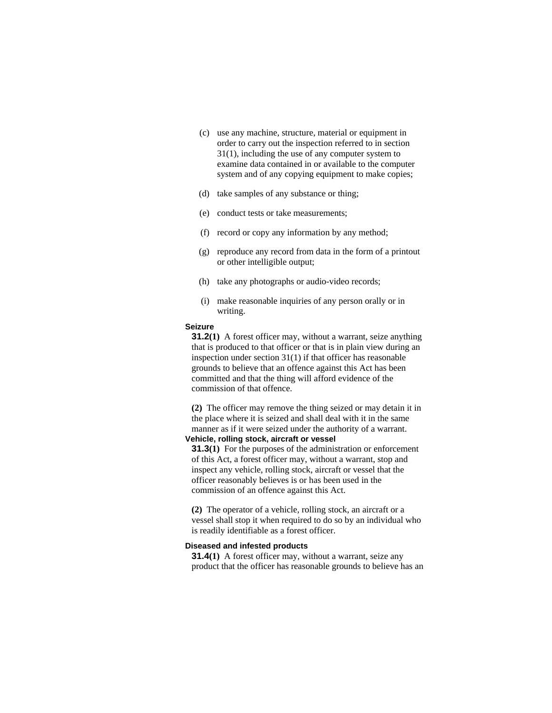- (c) use any machine, structure, material or equipment in order to carry out the inspection referred to in section 31(1), including the use of any computer system to examine data contained in or available to the computer system and of any copying equipment to make copies;
- (d) take samples of any substance or thing;
- (e) conduct tests or take measurements;
- (f) record or copy any information by any method;
- (g) reproduce any record from data in the form of a printout or other intelligible output;
- (h) take any photographs or audio-video records;
- (i) make reasonable inquiries of any person orally or in writing.

# **Seizure**

**31.2(1)** A forest officer may, without a warrant, seize anything that is produced to that officer or that is in plain view during an inspection under section 31(1) if that officer has reasonable grounds to believe that an offence against this Act has been committed and that the thing will afford evidence of the commission of that offence.

**(2)** The officer may remove the thing seized or may detain it in the place where it is seized and shall deal with it in the same manner as if it were seized under the authority of a warrant.

# **Vehicle, rolling stock, aircraft or vessel**

**31.3(1)** For the purposes of the administration or enforcement of this Act, a forest officer may, without a warrant, stop and inspect any vehicle, rolling stock, aircraft or vessel that the officer reasonably believes is or has been used in the commission of an offence against this Act.

**(2)** The operator of a vehicle, rolling stock, an aircraft or a vessel shall stop it when required to do so by an individual who is readily identifiable as a forest officer.

# **Diseased and infested products**

**31.4**(1) A forest officer may, without a warrant, seize any product that the officer has reasonable grounds to believe has an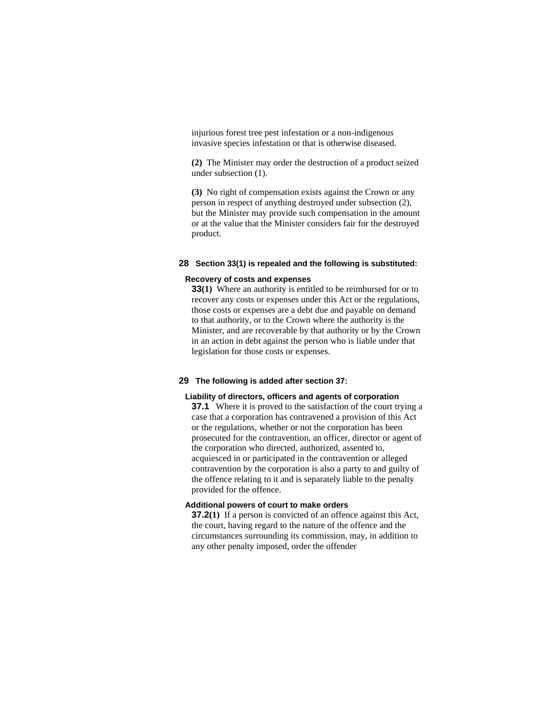injurious forest tree pest infestation or a non-indigenous invasive species infestation or that is otherwise diseased.

**(2)** The Minister may order the destruction of a product seized under subsection (1).

**(3)** No right of compensation exists against the Crown or any person in respect of anything destroyed under subsection (2), but the Minister may provide such compensation in the amount or at the value that the Minister considers fair for the destroyed product.

### **28 Section 33(1) is repealed and the following is substituted:**

#### **Recovery of costs and expenses**

**33(1)** Where an authority is entitled to be reimbursed for or to recover any costs or expenses under this Act or the regulations, those costs or expenses are a debt due and payable on demand to that authority, or to the Crown where the authority is the Minister, and are recoverable by that authority or by the Crown in an action in debt against the person who is liable under that legislation for those costs or expenses.

# **29 The following is added after section 37:**

#### **Liability of directors, officers and agents of corporation**

**37.1** Where it is proved to the satisfaction of the court trying a case that a corporation has contravened a provision of this Act or the regulations, whether or not the corporation has been prosecuted for the contravention, an officer, director or agent of the corporation who directed, authorized, assented to, acquiesced in or participated in the contravention or alleged contravention by the corporation is also a party to and guilty of the offence relating to it and is separately liable to the penalty provided for the offence.

# **Additional powers of court to make orders**

**37.2(1)** If a person is convicted of an offence against this Act, the court, having regard to the nature of the offence and the circumstances surrounding its commission, may, in addition to any other penalty imposed, order the offender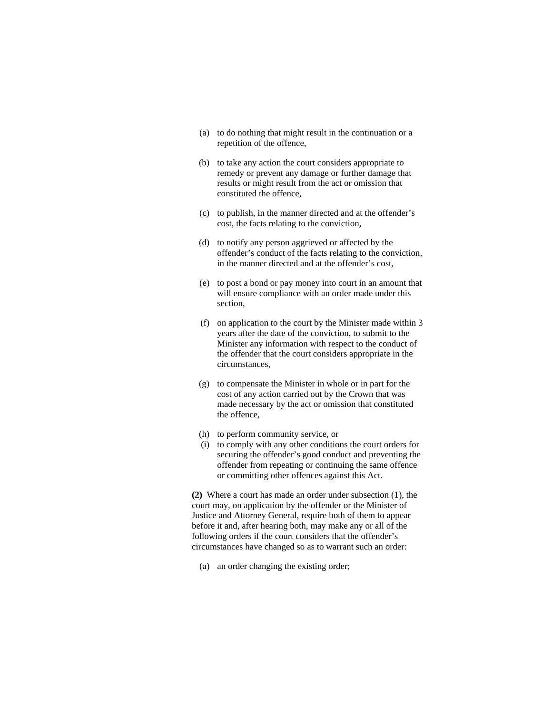- (a) to do nothing that might result in the continuation or a repetition of the offence,
- (b) to take any action the court considers appropriate to remedy or prevent any damage or further damage that results or might result from the act or omission that constituted the offence,
- (c) to publish, in the manner directed and at the offender's cost, the facts relating to the conviction,
- (d) to notify any person aggrieved or affected by the offender's conduct of the facts relating to the conviction, in the manner directed and at the offender's cost,
- (e) to post a bond or pay money into court in an amount that will ensure compliance with an order made under this section,
- (f) on application to the court by the Minister made within 3 years after the date of the conviction, to submit to the Minister any information with respect to the conduct of the offender that the court considers appropriate in the circumstances,
- (g) to compensate the Minister in whole or in part for the cost of any action carried out by the Crown that was made necessary by the act or omission that constituted the offence,
- (h) to perform community service, or
- (i) to comply with any other conditions the court orders for securing the offender's good conduct and preventing the offender from repeating or continuing the same offence or committing other offences against this Act.

**(2)** Where a court has made an order under subsection (1), the court may, on application by the offender or the Minister of Justice and Attorney General, require both of them to appear before it and, after hearing both, may make any or all of the following orders if the court considers that the offender's circumstances have changed so as to warrant such an order:

(a) an order changing the existing order;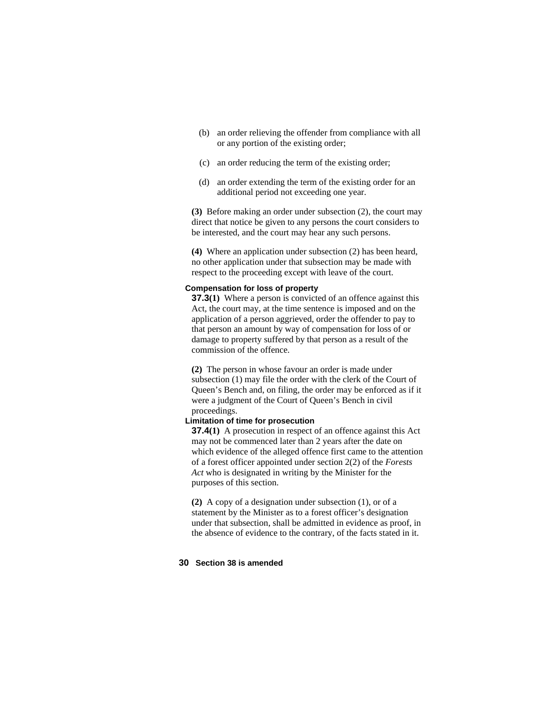- (b) an order relieving the offender from compliance with all or any portion of the existing order;
- (c) an order reducing the term of the existing order;
- (d) an order extending the term of the existing order for an additional period not exceeding one year.

**(3)** Before making an order under subsection (2), the court may direct that notice be given to any persons the court considers to be interested, and the court may hear any such persons.

**(4)** Where an application under subsection (2) has been heard, no other application under that subsection may be made with respect to the proceeding except with leave of the court.

# **Compensation for loss of property**

**37.3(1)** Where a person is convicted of an offence against this Act, the court may, at the time sentence is imposed and on the application of a person aggrieved, order the offender to pay to that person an amount by way of compensation for loss of or damage to property suffered by that person as a result of the commission of the offence.

**(2)** The person in whose favour an order is made under subsection (1) may file the order with the clerk of the Court of Queen's Bench and, on filing, the order may be enforced as if it were a judgment of the Court of Queen's Bench in civil proceedings.

# **Limitation of time for prosecution**

**37.4(1)** A prosecution in respect of an offence against this Act may not be commenced later than 2 years after the date on which evidence of the alleged offence first came to the attention of a forest officer appointed under section 2(2) of the *Forests Act* who is designated in writing by the Minister for the purposes of this section.

**(2)** A copy of a designation under subsection (1), or of a statement by the Minister as to a forest officer's designation under that subsection, shall be admitted in evidence as proof, in the absence of evidence to the contrary, of the facts stated in it.

#### **30 Section 38 is amended**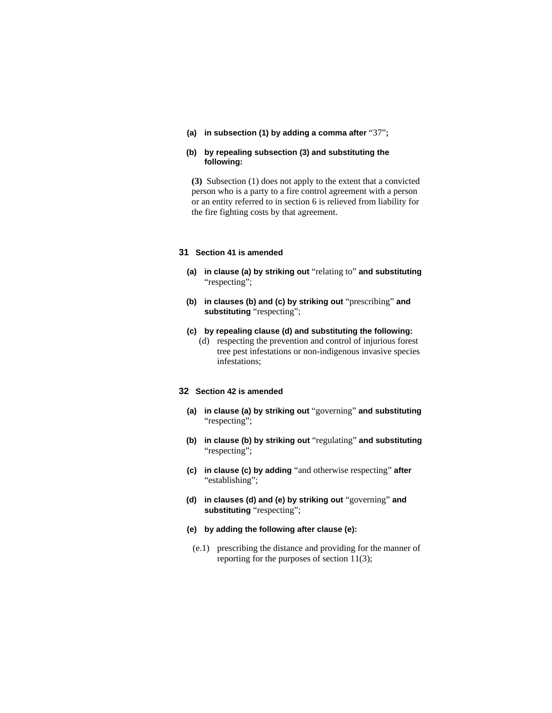**(a) in subsection (1) by adding a comma after** "37"**;** 

# **(b) by repealing subsection (3) and substituting the following:**

**(3)** Subsection (1) does not apply to the extent that a convicted person who is a party to a fire control agreement with a person or an entity referred to in section 6 is relieved from liability for the fire fighting costs by that agreement.

# **31 Section 41 is amended**

- **(a) in clause (a) by striking out** "relating to" **and substituting**  "respecting";
- **(b) in clauses (b) and (c) by striking out** "prescribing" **and substituting** "respecting";

#### **(c) by repealing clause (d) and substituting the following:**

 (d) respecting the prevention and control of injurious forest tree pest infestations or non-indigenous invasive species infestations;

# **32 Section 42 is amended**

- **(a) in clause (a) by striking out** "governing" **and substituting**  "respecting";
- **(b) in clause (b) by striking out** "regulating" **and substituting**  "respecting";
- **(c) in clause (c) by adding** "and otherwise respecting" **after**  "establishing";
- **(d) in clauses (d) and (e) by striking out** "governing" **and substituting** "respecting";
- **(e) by adding the following after clause (e):**
- (e.1) prescribing the distance and providing for the manner of reporting for the purposes of section 11(3);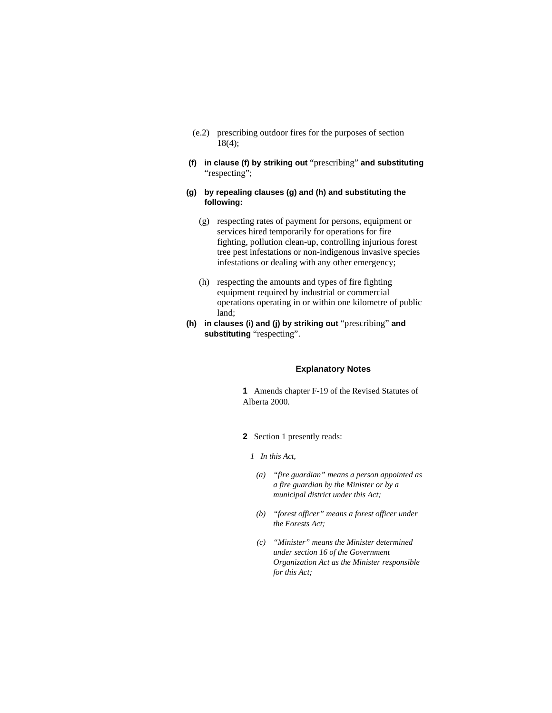- (e.2) prescribing outdoor fires for the purposes of section 18(4);
- **(f) in clause (f) by striking out** "prescribing" **and substituting**  "respecting";
- **(g) by repealing clauses (g) and (h) and substituting the following:**
	- (g) respecting rates of payment for persons, equipment or services hired temporarily for operations for fire fighting, pollution clean-up, controlling injurious forest tree pest infestations or non-indigenous invasive species infestations or dealing with any other emergency;
	- (h) respecting the amounts and types of fire fighting equipment required by industrial or commercial operations operating in or within one kilometre of public land;
- **(h) in clauses (i) and (j) by striking out** "prescribing" **and substituting** "respecting".

# **Explanatory Notes**

**1** Amends chapter F-19 of the Revised Statutes of Alberta 2000.

- **2** Section 1 presently reads:
	- *1 In this Act,* 
		- *(a) "fire guardian" means a person appointed as a fire guardian by the Minister or by a municipal district under this Act;*
		- *(b) "forest officer" means a forest officer under the Forests Act;*
		- *(c) "Minister" means the Minister determined under section 16 of the Government Organization Act as the Minister responsible for this Act;*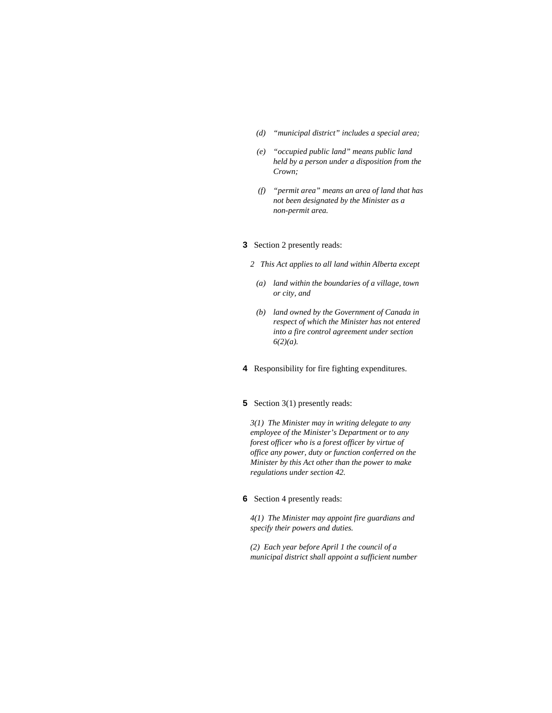- *(d) "municipal district" includes a special area;*
- *(e) "occupied public land" means public land held by a person under a disposition from the Crown;*
- *(f) "permit area" means an area of land that has not been designated by the Minister as a non-permit area.*

## **3** Section 2 presently reads:

- *2 This Act applies to all land within Alberta except* 
	- *(a) land within the boundaries of a village, town or city, and*
- *(b) land owned by the Government of Canada in respect of which the Minister has not entered into a fire control agreement under section 6(2)(a).*
- **4** Responsibility for fire fighting expenditures.

# **5** Section 3(1) presently reads:

*3(1) The Minister may in writing delegate to any employee of the Minister's Department or to any forest officer who is a forest officer by virtue of office any power, duty or function conferred on the Minister by this Act other than the power to make regulations under section 42.* 

## **6** Section 4 presently reads:

*4(1) The Minister may appoint fire guardians and specify their powers and duties.* 

*(2) Each year before April 1 the council of a municipal district shall appoint a sufficient number*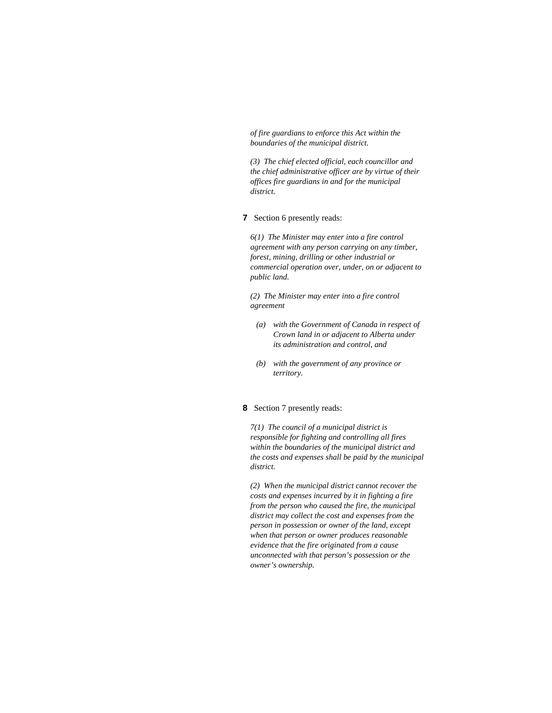*of fire guardians to enforce this Act within the boundaries of the municipal district.* 

*(3) The chief elected official, each councillor and the chief administrative officer are by virtue of their offices fire guardians in and for the municipal district.* 

# **7** Section 6 presently reads:

*6(1) The Minister may enter into a fire control agreement with any person carrying on any timber, forest, mining, drilling or other industrial or commercial operation over, under, on or adjacent to public land.* 

*(2) The Minister may enter into a fire control agreement* 

- *(a) with the Government of Canada in respect of Crown land in or adjacent to Alberta under its administration and control, and*
- *(b) with the government of any province or territory.*

# **8** Section 7 presently reads:

*7(1) The council of a municipal district is responsible for fighting and controlling all fires within the boundaries of the municipal district and the costs and expenses shall be paid by the municipal district.* 

*(2) When the municipal district cannot recover the costs and expenses incurred by it in fighting a fire from the person who caused the fire, the municipal district may collect the cost and expenses from the person in possession or owner of the land, except when that person or owner produces reasonable evidence that the fire originated from a cause unconnected with that person's possession or the owner's ownership.*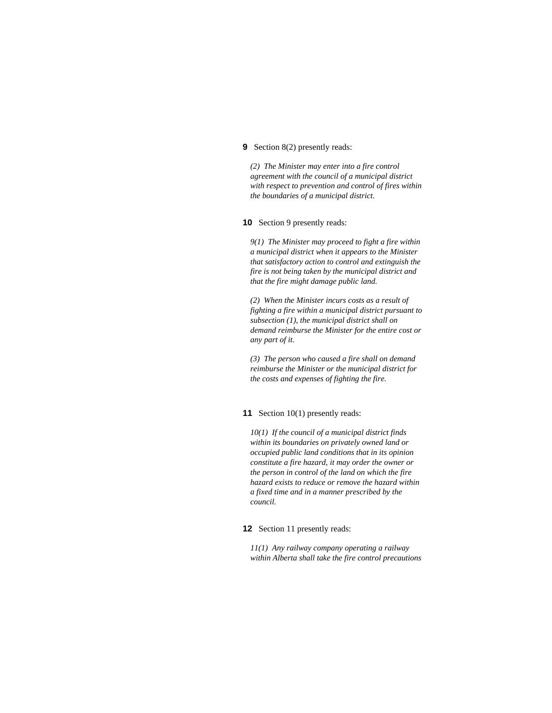### **9** Section 8(2) presently reads:

*(2) The Minister may enter into a fire control agreement with the council of a municipal district with respect to prevention and control of fires within the boundaries of a municipal district.* 

**10** Section 9 presently reads:

*9(1) The Minister may proceed to fight a fire within a municipal district when it appears to the Minister that satisfactory action to control and extinguish the fire is not being taken by the municipal district and that the fire might damage public land.* 

*(2) When the Minister incurs costs as a result of fighting a fire within a municipal district pursuant to subsection (1), the municipal district shall on demand reimburse the Minister for the entire cost or any part of it.* 

*(3) The person who caused a fire shall on demand reimburse the Minister or the municipal district for the costs and expenses of fighting the fire.* 

# **11** Section 10(1) presently reads:

*10(1) If the council of a municipal district finds within its boundaries on privately owned land or occupied public land conditions that in its opinion constitute a fire hazard, it may order the owner or the person in control of the land on which the fire hazard exists to reduce or remove the hazard within a fixed time and in a manner prescribed by the council.* 

**12** Section 11 presently reads:

*11(1) Any railway company operating a railway within Alberta shall take the fire control precautions*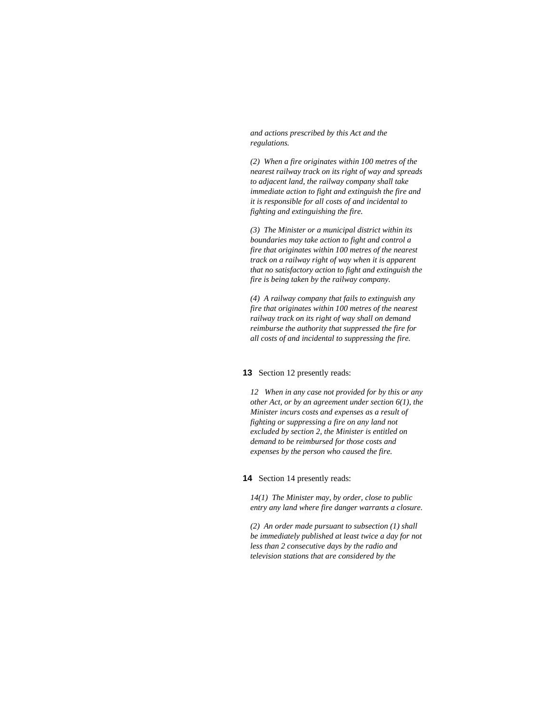*and actions prescribed by this Act and the regulations.* 

*(2) When a fire originates within 100 metres of the nearest railway track on its right of way and spreads to adjacent land, the railway company shall take immediate action to fight and extinguish the fire and it is responsible for all costs of and incidental to fighting and extinguishing the fire.* 

*(3) The Minister or a municipal district within its boundaries may take action to fight and control a fire that originates within 100 metres of the nearest track on a railway right of way when it is apparent that no satisfactory action to fight and extinguish the fire is being taken by the railway company.* 

*(4) A railway company that fails to extinguish any fire that originates within 100 metres of the nearest railway track on its right of way shall on demand reimburse the authority that suppressed the fire for all costs of and incidental to suppressing the fire.* 

#### **13** Section 12 presently reads:

*12 When in any case not provided for by this or any other Act, or by an agreement under section 6(1), the Minister incurs costs and expenses as a result of fighting or suppressing a fire on any land not excluded by section 2, the Minister is entitled on demand to be reimbursed for those costs and expenses by the person who caused the fire.* 

#### **14** Section 14 presently reads:

*14(1) The Minister may, by order, close to public entry any land where fire danger warrants a closure.* 

*(2) An order made pursuant to subsection (1) shall be immediately published at least twice a day for not less than 2 consecutive days by the radio and television stations that are considered by the*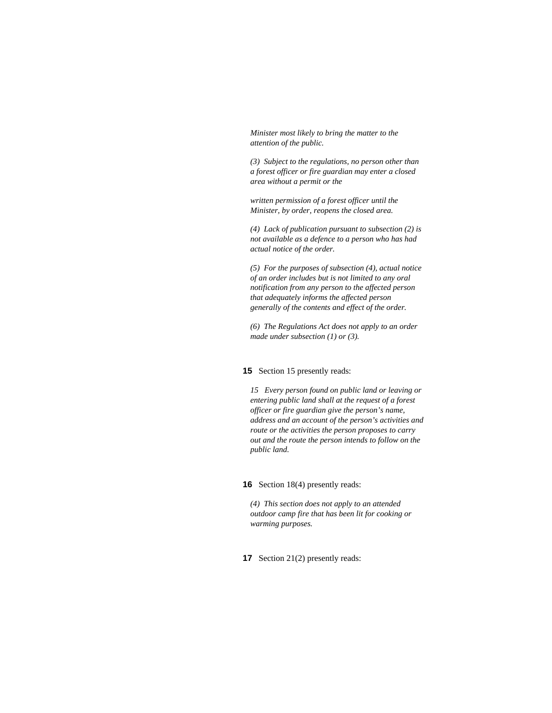*Minister most likely to bring the matter to the attention of the public.* 

*(3) Subject to the regulations, no person other than a forest officer or fire guardian may enter a closed area without a permit or the* 

*written permission of a forest officer until the Minister, by order, reopens the closed area.* 

*(4) Lack of publication pursuant to subsection (2) is not available as a defence to a person who has had actual notice of the order.* 

*(5) For the purposes of subsection (4), actual notice of an order includes but is not limited to any oral notification from any person to the affected person that adequately informs the affected person generally of the contents and effect of the order.* 

*(6) The Regulations Act does not apply to an order made under subsection (1) or (3).* 

# **15** Section 15 presently reads:

*15 Every person found on public land or leaving or entering public land shall at the request of a forest officer or fire guardian give the person's name, address and an account of the person's activities and route or the activities the person proposes to carry out and the route the person intends to follow on the public land.* 

# **16** Section 18(4) presently reads:

*(4) This section does not apply to an attended outdoor camp fire that has been lit for cooking or warming purposes.* 

**17** Section 21(2) presently reads: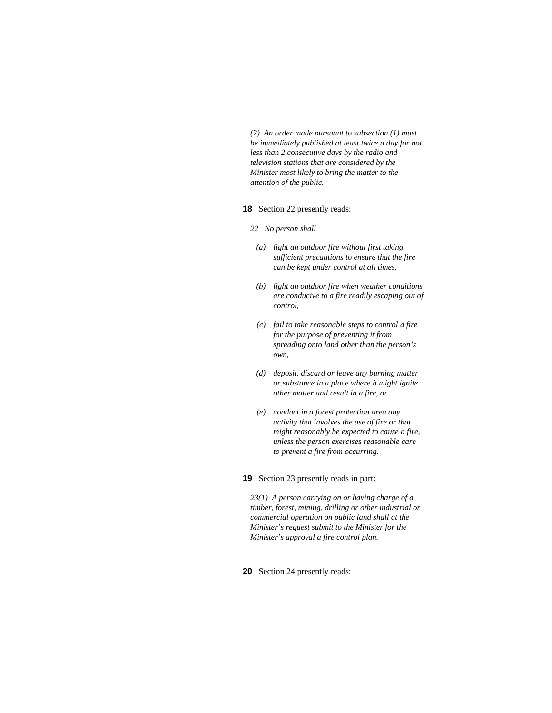*(2) An order made pursuant to subsection (1) must be immediately published at least twice a day for not less than 2 consecutive days by the radio and television stations that are considered by the Minister most likely to bring the matter to the attention of the public.* 

#### **18** Section 22 presently reads:

- *22 No person shall* 
	- *(a) light an outdoor fire without first taking sufficient precautions to ensure that the fire can be kept under control at all times,*
	- *(b) light an outdoor fire when weather conditions are conducive to a fire readily escaping out of control,*
	- *(c) fail to take reasonable steps to control a fire for the purpose of preventing it from spreading onto land other than the person's own,*
	- *(d) deposit, discard or leave any burning matter or substance in a place where it might ignite other matter and result in a fire, or*
	- *(e) conduct in a forest protection area any activity that involves the use of fire or that might reasonably be expected to cause a fire, unless the person exercises reasonable care to prevent a fire from occurring.*

**19** Section 23 presently reads in part:

*23(1) A person carrying on or having charge of a timber, forest, mining, drilling or other industrial or commercial operation on public land shall at the Minister's request submit to the Minister for the Minister's approval a fire control plan.* 

**20** Section 24 presently reads: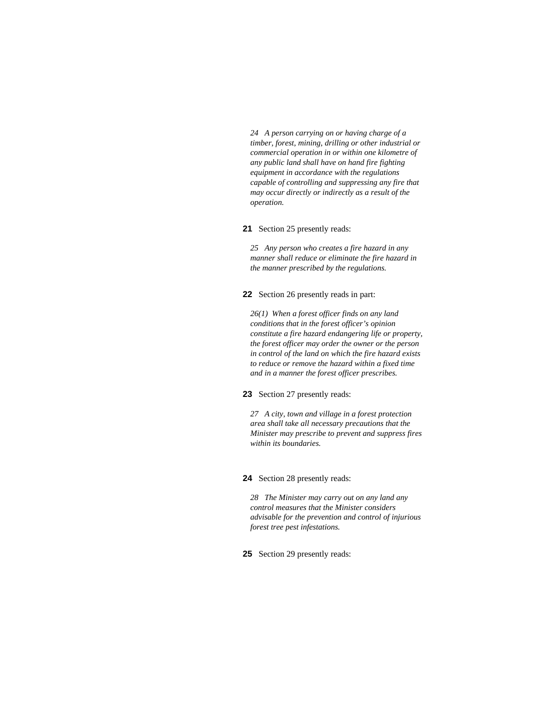*24 A person carrying on or having charge of a timber, forest, mining, drilling or other industrial or commercial operation in or within one kilometre of any public land shall have on hand fire fighting equipment in accordance with the regulations capable of controlling and suppressing any fire that may occur directly or indirectly as a result of the operation.* 

**21** Section 25 presently reads:

*25 Any person who creates a fire hazard in any manner shall reduce or eliminate the fire hazard in the manner prescribed by the regulations.* 

**22** Section 26 presently reads in part:

*26(1) When a forest officer finds on any land conditions that in the forest officer's opinion constitute a fire hazard endangering life or property, the forest officer may order the owner or the person in control of the land on which the fire hazard exists to reduce or remove the hazard within a fixed time and in a manner the forest officer prescribes.* 

**23** Section 27 presently reads:

*27 A city, town and village in a forest protection area shall take all necessary precautions that the Minister may prescribe to prevent and suppress fires within its boundaries.* 

**24** Section 28 presently reads:

*28 The Minister may carry out on any land any control measures that the Minister considers advisable for the prevention and control of injurious forest tree pest infestations.* 

**25** Section 29 presently reads: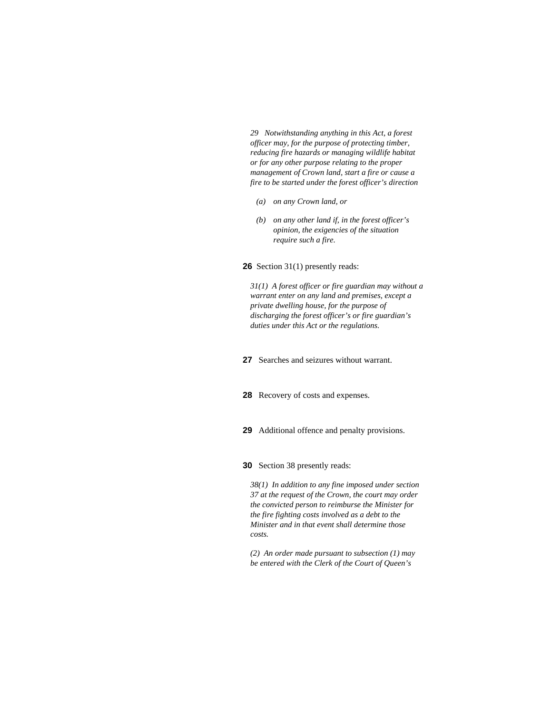*29 Notwithstanding anything in this Act, a forest officer may, for the purpose of protecting timber, reducing fire hazards or managing wildlife habitat or for any other purpose relating to the proper management of Crown land, start a fire or cause a fire to be started under the forest officer's direction* 

- *(a) on any Crown land, or*
- *(b) on any other land if, in the forest officer's opinion, the exigencies of the situation require such a fire.*

**26** Section 31(1) presently reads:

*31(1) A forest officer or fire guardian may without a warrant enter on any land and premises, except a private dwelling house, for the purpose of discharging the forest officer's or fire guardian's duties under this Act or the regulations.* 

- **27** Searches and seizures without warrant.
- **28** Recovery of costs and expenses.
- **29** Additional offence and penalty provisions.
- **30** Section 38 presently reads:

*38(1) In addition to any fine imposed under section 37 at the request of the Crown, the court may order the convicted person to reimburse the Minister for the fire fighting costs involved as a debt to the Minister and in that event shall determine those costs.* 

*(2) An order made pursuant to subsection (1) may be entered with the Clerk of the Court of Queen's*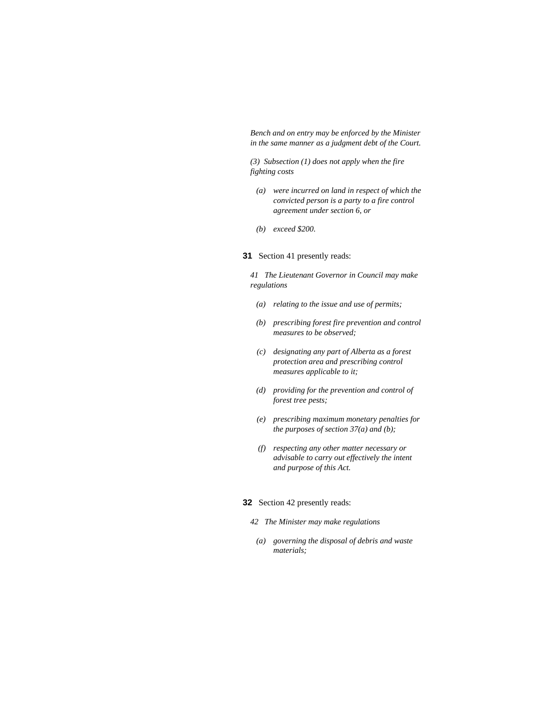*Bench and on entry may be enforced by the Minister in the same manner as a judgment debt of the Court.* 

*(3) Subsection (1) does not apply when the fire fighting costs* 

- *(a) were incurred on land in respect of which the convicted person is a party to a fire control agreement under section 6, or*
- *(b) exceed \$200.*
- **31** Section 41 presently reads:

*41 The Lieutenant Governor in Council may make regulations* 

- *(a) relating to the issue and use of permits;*
- *(b) prescribing forest fire prevention and control measures to be observed;*
- *(c) designating any part of Alberta as a forest protection area and prescribing control measures applicable to it;*
- *(d) providing for the prevention and control of forest tree pests;*
- *(e) prescribing maximum monetary penalties for the purposes of section 37(a) and (b);*
- *(f) respecting any other matter necessary or advisable to carry out effectively the intent and purpose of this Act.*

# **32** Section 42 presently reads:

- *42 The Minister may make regulations*
- *(a) governing the disposal of debris and waste materials;*